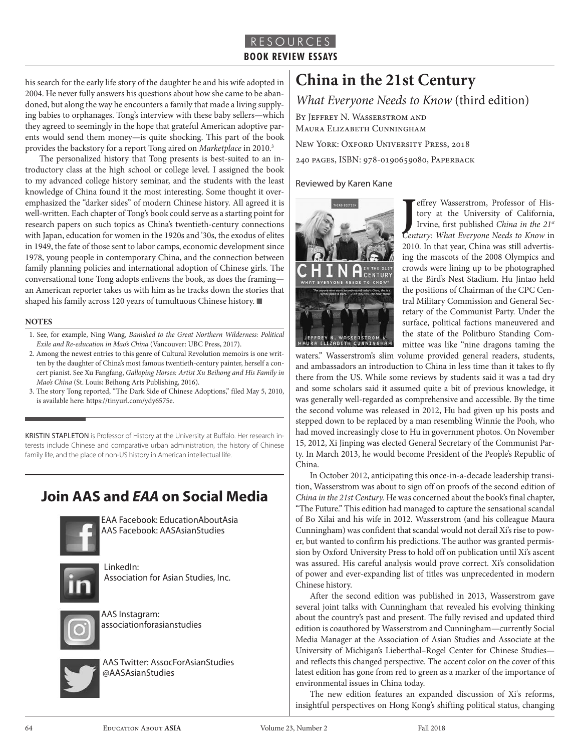## RESOURCES **BOOK REVIEW ESSAYS**

his search for the early life story of the daughter he and his wife adopted in 2004. He never fully answers his questions about how she came to be abandoned, but along the way he encounters a family that made a living supplying babies to orphanages. Tong's interview with these baby sellers—which they agreed to seemingly in the hope that grateful American adoptive parents would send them money—is quite shocking. This part of the book provides the backstory for a report Tong aired on *Marketplace* in 2010.3

The personalized history that Tong presents is best-suited to an introductory class at the high school or college level. I assigned the book to my advanced college history seminar, and the students with the least knowledge of China found it the most interesting. Some thought it overemphasized the "darker sides" of modern Chinese history. All agreed it is well-written. Each chapter of Tong's book could serve as a starting point for research papers on such topics as China's twentieth-century connections with Japan, education for women in the 1920s and '30s, the exodus of elites in 1949, the fate of those sent to labor camps, economic development since 1978, young people in contemporary China, and the connection between family planning policies and international adoption of Chinese girls. The conversational tone Tong adopts enlivens the book, as does the framing an American reporter takes us with him as he tracks down the stories that shaped his family across 120 years of tumultuous Chinese history. ■

#### **NOTES**

- 1. See, for example, Ning Wang, *Banished to the Great Northern Wilderness: Political Exile and Re-education in Mao's China* (Vancouver: UBC Press, 2017).
- 2. Among the newest entries to this genre of Cultural Revolution memoirs is one written by the daughter of China's most famous twentieth-century painter, herself a concert pianist. See Xu Fangfang, *Galloping Horses: Artist Xu Beihong and His Family in Mao's China* (St. Louis: Beihong Arts Publishing, 2016).
- 3. The story Tong reported, "The Dark Side of Chinese Adoptions," filed May 5, 2010, is available here: https://tinyurl.com/ydy6575e.

KRISTIN STAPLETON is Professor of History at the University at Buffalo. Her research interests include Chinese and comparative urban administration, the history of Chinese family life, and the place of non-US history in American intellectual life.

## **Join AAS and** *EAA* **on Social Media**



EAA Facebook: EducationAboutAsia AAS Facebook: AASAsianStudies



LinkedIn: Association for Asian Studies, Inc.



AAS Instagram: associationforasianstudies



AAS Twitter: AssocForAsianStudies @AASAsianStudies

# **China in the 21st Century**

*What Everyone Needs to Know* (third edition)

By Jeffrey N. Wasserstrom and Maura Elizabeth Cunningham

New York: Oxford University Press, 2018

240 pages, ISBN: 978-0190659080, Paperback

### Reviewed by Karen Kane



**J** effrey Wasserstrom, Professor of History at the University of California, Irvine, first published *China in the* 21<sup>st</sup> Century: What Everyone Needs to Know in effrey Wasserstrom, Professor of History at the University of California, Irvine, first published *China in the 21st* 2010. In that year, China was still advertising the mascots of the 2008 Olympics and crowds were lining up to be photographed at the Bird's Nest Stadium. Hu Jintao held the positions of Chairman of the CPC Central Military Commission and General Secretary of the Communist Party. Under the surface, political factions maneuvered and the state of the Politburo Standing Committee was like "nine dragons taming the

waters." Wasserstrom's slim volume provided general readers, students, and ambassadors an introduction to China in less time than it takes to fly there from the US. While some reviews by students said it was a tad dry and some scholars said it assumed quite a bit of previous knowledge, it was generally well-regarded as comprehensive and accessible. By the time the second volume was released in 2012, Hu had given up his posts and stepped down to be replaced by a man resembling Winnie the Pooh, who had moved increasingly close to Hu in government photos. On November 15, 2012, Xi Jinping was elected General Secretary of the Communist Party. In March 2013, he would become President of the People's Republic of China.

In October 2012, anticipating this once-in-a-decade leadership transition, Wasserstrom was about to sign off on proofs of the second edition of *China in the 21st Century.* He was concerned about the book's final chapter, "The Future." This edition had managed to capture the sensational scandal of Bo Xilai and his wife in 2012. Wasserstrom (and his colleague Maura Cunningham) was confident that scandal would not derail Xi's rise to power, but wanted to confirm his predictions. The author was granted permission by Oxford University Press to hold off on publication until Xi's ascent was assured. His careful analysis would prove correct. Xi's consolidation of power and ever-expanding list of titles was unprecedented in modern Chinese history.

After the second edition was published in 2013, Wasserstrom gave several joint talks with Cunningham that revealed his evolving thinking about the country's past and present. The fully revised and updated third edition is coauthored by Wasserstrom and Cunningham—currently Social Media Manager at the Association of Asian Studies and Associate at the University of Michigan's Lieberthal–Rogel Center for Chinese Studies and reflects this changed perspective. The accent color on the cover of this latest edition has gone from red to green as a marker of the importance of environmental issues in China today.

The new edition features an expanded discussion of Xi's reforms, insightful perspectives on Hong Kong's shifting political status, changing